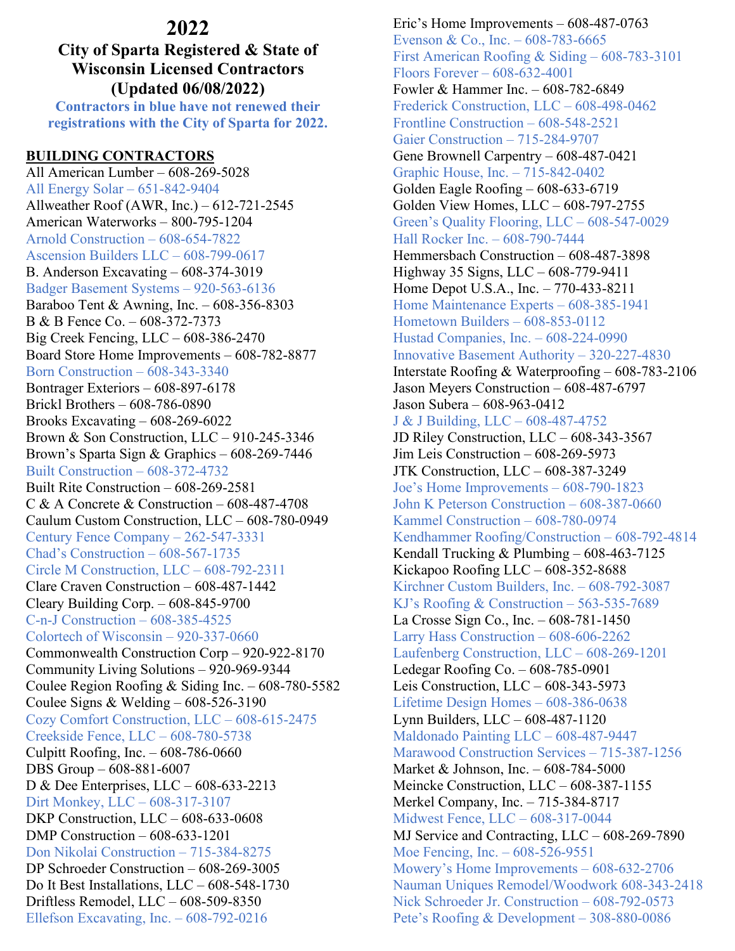# **2022**

## **City of Sparta Registered & State of Wisconsin Licensed Contractors (Updated 06/08/2022)**

**Contractors in blue have not renewed their registrations with the City of Sparta for 2022.**

## **BUILDING CONTRACTORS**

All American Lumber – 608-269-5028 All Energy Solar – 651-842-9404 Allweather Roof (AWR, Inc.) – 612-721-2545 American Waterworks – 800-795-1204 Arnold Construction – 608-654-7822 Ascension Builders LLC – 608-799-0617 B. Anderson Excavating – 608-374-3019 Badger Basement Systems – 920-563-6136 Baraboo Tent & Awning, Inc. – 608-356-8303 B & B Fence Co. – 608-372-7373 Big Creek Fencing, LLC – 608-386-2470 Board Store Home Improvements – 608-782-8877 Born Construction – 608-343-3340 Bontrager Exteriors – 608-897-6178 Brickl Brothers – 608-786-0890 Brooks Excavating – 608-269-6022 Brown & Son Construction, LLC – 910-245-3346 Brown's Sparta Sign & Graphics – 608-269-7446 Built Construction – 608-372-4732 Built Rite Construction – 608-269-2581 C & A Concrete & Construction – 608-487-4708 Caulum Custom Construction, LLC – 608-780-0949 Century Fence Company – 262-547-3331 Chad's Construction – 608-567-1735 Circle M Construction, LLC – 608-792-2311 Clare Craven Construction – 608-487-1442 Cleary Building Corp. – 608-845-9700 C-n-J Construction – 608-385-4525 Colortech of Wisconsin – 920-337-0660 Commonwealth Construction Corp – 920-922-8170 Community Living Solutions – 920-969-9344 Coulee Region Roofing & Siding Inc. – 608-780-5582 Coulee Signs & Welding – 608-526-3190 Cozy Comfort Construction, LLC – 608-615-2475 Creekside Fence, LLC – 608-780-5738 Culpitt Roofing, Inc. – 608-786-0660 DBS Group – 608-881-6007 D & Dee Enterprises, LLC – 608-633-2213 Dirt Monkey, LLC – 608-317-3107 DKP Construction, LLC – 608-633-0608 DMP Construction – 608-633-1201 Don Nikolai Construction – 715-384-8275 DP Schroeder Construction – 608-269-3005 Do It Best Installations, LLC – 608-548-1730 Driftless Remodel, LLC – 608-509-8350 Ellefson Excavating, Inc. – 608-792-0216

Eric's Home Improvements – 608-487-0763 Evenson & Co., Inc. – 608-783-6665 First American Roofing & Siding – 608-783-3101 Floors Forever – 608-632-4001 Fowler & Hammer Inc. – 608-782-6849 Frederick Construction, LLC – 608-498-0462 Frontline Construction – 608-548-2521 Gaier Construction – 715-284-9707 Gene Brownell Carpentry – 608-487-0421 Graphic House, Inc. – 715-842-0402 Golden Eagle Roofing – 608-633-6719 Golden View Homes, LLC – 608-797-2755 Green's Quality Flooring, LLC – 608-547-0029 Hall Rocker Inc. – 608-790-7444 Hemmersbach Construction – 608-487-3898 Highway 35 Signs, LLC – 608-779-9411 Home Depot U.S.A., Inc. – 770-433-8211 Home Maintenance Experts – 608-385-1941 Hometown Builders – 608-853-0112 Hustad Companies, Inc. – 608-224-0990 Innovative Basement Authority – 320-227-4830 Interstate Roofing & Waterproofing – 608-783-2106 Jason Meyers Construction – 608-487-6797 Jason Subera – 608-963-0412 J & J Building, LLC – 608-487-4752 JD Riley Construction, LLC – 608-343-3567 Jim Leis Construction – 608-269-5973 JTK Construction, LLC – 608-387-3249 Joe's Home Improvements – 608-790-1823 John K Peterson Construction – 608-387-0660 Kammel Construction – 608-780-0974 Kendhammer Roofing/Construction – 608-792-4814 Kendall Trucking & Plumbing – 608-463-7125 Kickapoo Roofing LLC – 608-352-8688 Kirchner Custom Builders, Inc. – 608-792-3087 KJ's Roofing & Construction – 563-535-7689 La Crosse Sign Co., Inc. – 608-781-1450 Larry Hass Construction – 608-606-2262 Laufenberg Construction, LLC – 608-269-1201 Ledegar Roofing Co. – 608-785-0901 Leis Construction, LLC – 608-343-5973 Lifetime Design Homes – 608-386-0638 Lynn Builders, LLC – 608-487-1120 Maldonado Painting LLC – 608-487-9447 Marawood Construction Services – 715-387-1256 Market & Johnson, Inc. – 608-784-5000 Meincke Construction, LLC – 608-387-1155 Merkel Company, Inc. – 715-384-8717 Midwest Fence, LLC – 608-317-0044 MJ Service and Contracting, LLC – 608-269-7890 Moe Fencing, Inc. – 608-526-9551 Mowery's Home Improvements – 608-632-2706 Nauman Uniques Remodel/Woodwork 608-343-2418 Nick Schroeder Jr. Construction – 608-792-0573 Pete's Roofing & Development – 308-880-0086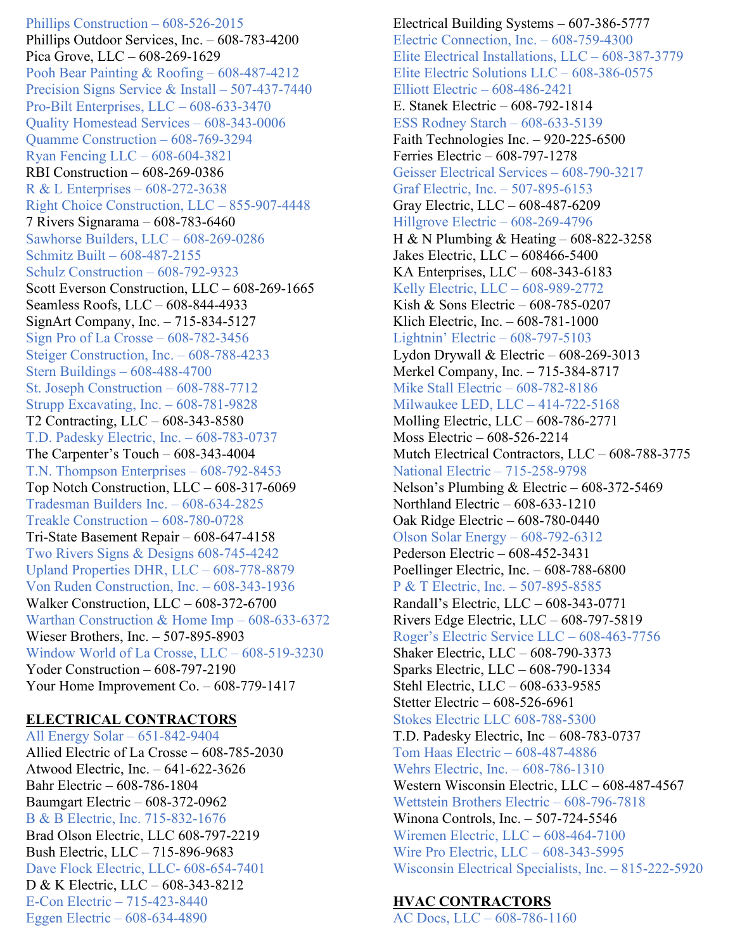Phillips Construction – 608-526-2015 Phillips Outdoor Services, Inc. – 608-783-4200 Pica Grove, LLC – 608-269-1629 Pooh Bear Painting & Roofing – 608-487-4212 Precision Signs Service & Install – 507-437-7440 Pro-Bilt Enterprises, LLC – 608-633-3470 Quality Homestead Services – 608-343-0006 Quamme Construction – 608-769-3294 Ryan Fencing LLC – 608-604-3821 RBI Construction – 608-269-0386 R & L Enterprises – 608-272-3638 Right Choice Construction, LLC – 855-907-4448 7 Rivers Signarama – 608-783-6460 Sawhorse Builders, LLC – 608-269-0286 Schmitz Built – 608-487-2155 Schulz Construction – 608-792-9323 Scott Everson Construction, LLC – 608-269-1665 Seamless Roofs, LLC – 608-844-4933 SignArt Company, Inc. – 715-834-5127 Sign Pro of La Crosse – 608-782-3456 Steiger Construction, Inc. – 608-788-4233 Stern Buildings – 608-488-4700 St. Joseph Construction – 608-788-7712 Strupp Excavating, Inc. – 608-781-9828 T2 Contracting, LLC – 608-343-8580 T.D. Padesky Electric, Inc. – 608-783-0737 The Carpenter's Touch – 608-343-4004 T.N. Thompson Enterprises – 608-792-8453 Top Notch Construction, LLC – 608-317-6069 Tradesman Builders Inc. – 608-634-2825 Treakle Construction – 608-780-0728 Tri-State Basement Repair – 608-647-4158 Two Rivers Signs & Designs 608-745-4242 Upland Properties DHR, LLC – 608-778-8879 Von Ruden Construction, Inc. – 608-343-1936 Walker Construction, LLC – 608-372-6700 Warthan Construction & Home Imp – 608-633-6372 Wieser Brothers, Inc. – 507-895-8903 Window World of La Crosse, LLC – 608-519-3230 Yoder Construction – 608-797-2190 Your Home Improvement Co. – 608-779-1417

### **ELECTRICAL CONTRACTORS**

All Energy Solar – 651-842-9404 Allied Electric of La Crosse – 608-785-2030 Atwood Electric, Inc. – 641-622-3626 Bahr Electric – 608-786-1804 Baumgart Electric – 608-372-0962 B & B Electric, Inc. 715-832-1676 Brad Olson Electric, LLC 608-797-2219 Bush Electric, LLC – 715-896-9683 Dave Flock Electric, LLC- 608-654-7401 D & K Electric, LLC – 608-343-8212 E-Con Electric – 715-423-8440 Eggen Electric – 608-634-4890

Electrical Building Systems – 607-386-5777 Electric Connection, Inc. – 608-759-4300 Elite Electrical Installations, LLC – 608-387-3779 Elite Electric Solutions LLC – 608-386-0575 Elliott Electric – 608-486-2421 E. Stanek Electric – 608-792-1814 ESS Rodney Starch – 608-633-5139 Faith Technologies Inc. – 920-225-6500 Ferries Electric – 608-797-1278 Geisser Electrical Services – 608-790-3217 Graf Electric, Inc. – 507-895-6153 Gray Electric, LLC – 608-487-6209 Hillgrove Electric – 608-269-4796 H & N Plumbing & Heating – 608-822-3258 Jakes Electric, LLC – 608466-5400 KA Enterprises, LLC – 608-343-6183 Kelly Electric, LLC – 608-989-2772 Kish & Sons Electric – 608-785-0207 Klich Electric, Inc. – 608-781-1000 Lightnin' Electric – 608-797-5103 Lydon Drywall & Electric – 608-269-3013 Merkel Company, Inc. – 715-384-8717 Mike Stall Electric – 608-782-8186 Milwaukee LED, LLC – 414-722-5168 Molling Electric, LLC – 608-786-2771 Moss Electric – 608-526-2214 Mutch Electrical Contractors, LLC – 608-788-3775 National Electric – 715-258-9798 Nelson's Plumbing & Electric – 608-372-5469 Northland Electric – 608-633-1210 Oak Ridge Electric – 608-780-0440 Olson Solar Energy – 608-792-6312 Pederson Electric – 608-452-3431 Poellinger Electric, Inc. – 608-788-6800 P & T Electric, Inc. – 507-895-8585 Randall's Electric, LLC – 608-343-0771 Rivers Edge Electric, LLC – 608-797-5819 Roger's Electric Service LLC – 608-463-7756 Shaker Electric, LLC – 608-790-3373 Sparks Electric, LLC – 608-790-1334 Stehl Electric, LLC – 608-633-9585 Stetter Electric – 608-526-6961 Stokes Electric LLC 608-788-5300 T.D. Padesky Electric, Inc – 608-783-0737 Tom Haas Electric – 608-487-4886 Wehrs Electric, Inc. – 608-786-1310 Western Wisconsin Electric, LLC – 608-487-4567 Wettstein Brothers Electric – 608-796-7818 Winona Controls, Inc. – 507-724-5546 Wiremen Electric, LLC – 608-464-7100 Wire Pro Electric, LLC – 608-343-5995 Wisconsin Electrical Specialists, Inc. – 815-222-5920

#### **HVAC CONTRACTORS**

AC Docs, LLC – 608-786-1160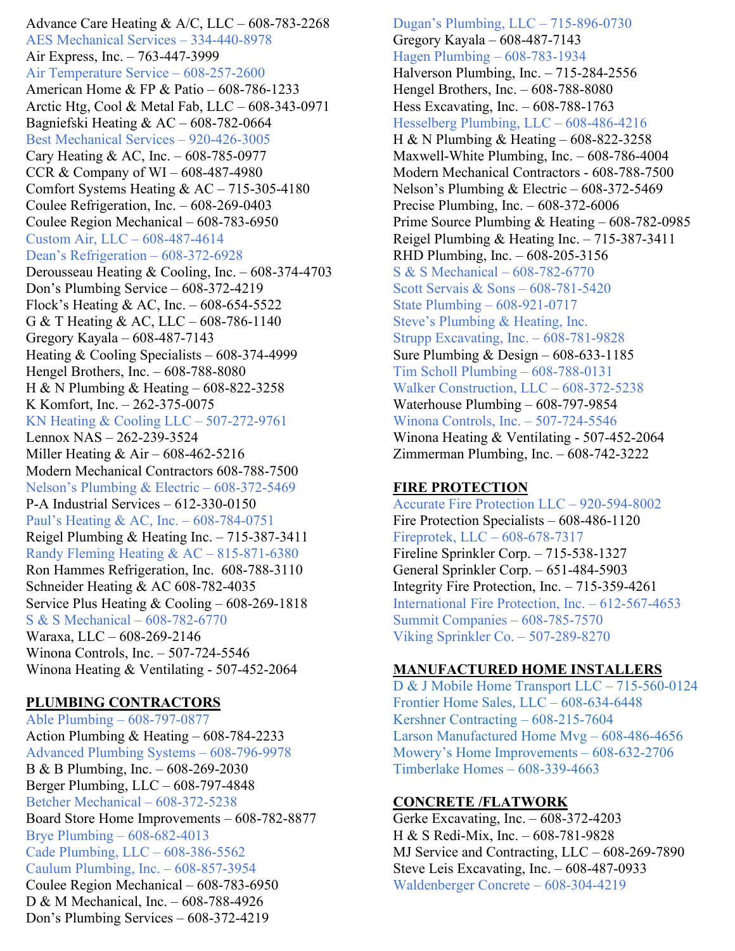Advance Care Heating & A/C, LLC – 608-783-2268 AES Mechanical Services – 334-440-8978 Air Express, Inc. – 763-447-3999 Air Temperature Service – 608-257-2600 American Home & FP & Patio – 608-786-1233 Arctic Htg, Cool & Metal Fab, LLC – 608-343-0971 Bagniefski Heating & AC – 608-782-0664 Best Mechanical Services – 920-426-3005 Cary Heating & AC, Inc. – 608-785-0977 CCR & Company of WI – 608-487-4980 Comfort Systems Heating & AC – 715-305-4180 Coulee Refrigeration, Inc. – 608-269-0403 Coulee Region Mechanical – 608-783-6950 Custom Air, LLC – 608-487-4614 Dean's Refrigeration – 608-372-6928 Derousseau Heating & Cooling, Inc. – 608-374-4703 Don's Plumbing Service – 608-372-4219 Flock's Heating & AC, Inc. – 608-654-5522 G & T Heating & AC, LLC – 608-786-1140 Gregory Kayala – 608-487-7143 Heating & Cooling Specialists – 608-374-4999 Hengel Brothers, Inc. – 608-788-8080 H & N Plumbing & Heating – 608-822-3258 K Komfort, Inc. – 262-375-0075 KN Heating & Cooling LLC – 507-272-9761 Lennox NAS – 262-239-3524 Miller Heating & Air – 608-462-5216 Modern Mechanical Contractors 608-788-7500 Nelson's Plumbing & Electric – 608-372-5469 P-A Industrial Services – 612-330-0150 Paul's Heating & AC, Inc. – 608-784-0751 Reigel Plumbing & Heating Inc. – 715-387-3411 Randy Fleming Heating & AC – 815-871-6380 Ron Hammes Refrigeration, Inc. 608-788-3110 Schneider Heating & AC 608-782-4035 Service Plus Heating & Cooling – 608-269-1818 S & S Mechanical – 608-782-6770 Waraxa, LLC – 608-269-2146 Winona Controls, Inc. – 507-724-5546 Winona Heating & Ventilating - 507-452-2064

#### **PLUMBING CONTRACTORS**

Able Plumbing – 608-797-0877 Action Plumbing & Heating – 608-784-2233 Advanced Plumbing Systems – 608-796-9978 B & B Plumbing, Inc. – 608-269-2030 Berger Plumbing, LLC – 608-797-4848 Betcher Mechanical – 608-372-5238 Board Store Home Improvements – 608-782-8877 Brye Plumbing – 608-682-4013 Cade Plumbing, LLC – 608-386-5562 Caulum Plumbing, Inc. – 608-857-3954 Coulee Region Mechanical – 608-783-6950 D & M Mechanical, Inc. – 608-788-4926 Don's Plumbing Services – 608-372-4219

Dugan's Plumbing, LLC – 715-896-0730 Gregory Kayala – 608-487-7143 Hagen Plumbing – 608-783-1934 Halverson Plumbing, Inc. – 715-284-2556 Hengel Brothers, Inc. – 608-788-8080 Hess Excavating, Inc. – 608-788-1763 Hesselberg Plumbing, LLC – 608-486-4216 H & N Plumbing & Heating – 608-822-3258 Maxwell-White Plumbing, Inc. – 608-786-4004 Modern Mechanical Contractors - 608-788-7500 Nelson's Plumbing & Electric – 608-372-5469 Precise Plumbing, Inc. – 608-372-6006 Prime Source Plumbing & Heating – 608-782-0985 Reigel Plumbing & Heating Inc. – 715-387-3411 RHD Plumbing, Inc. – 608-205-3156 S & S Mechanical – 608-782-6770 Scott Servais & Sons – 608-781-5420 State Plumbing – 608-921-0717 Steve's Plumbing & Heating, Inc. Strupp Excavating, Inc. – 608-781-9828 Sure Plumbing & Design – 608-633-1185 Tim Scholl Plumbing – 608-788-0131 Walker Construction, LLC – 608-372-5238 Waterhouse Plumbing – 608-797-9854 Winona Controls, Inc. – 507-724-5546 Winona Heating & Ventilating - 507-452-2064 Zimmerman Plumbing, Inc. – 608-742-3222

#### **FIRE PROTECTION**

Accurate Fire Protection LLC – 920-594-8002 Fire Protection Specialists – 608-486-1120 Fireprotek, LLC – 608-678-7317 Fireline Sprinkler Corp. – 715-538-1327 General Sprinkler Corp. – 651-484-5903 Integrity Fire Protection, Inc. – 715-359-4261 International Fire Protection, Inc. – 612-567-4653 Summit Companies – 608-785-7570 Viking Sprinkler Co. – 507-289-8270

#### **MANUFACTURED HOME INSTALLERS**

D & J Mobile Home Transport LLC – 715-560-0124 Frontier Home Sales, LLC – 608-634-6448 Kershner Contracting – 608-215-7604 Larson Manufactured Home Mvg – 608-486-4656 Mowery's Home Improvements – 608-632-2706 Timberlake Homes – 608-339-4663

#### **CONCRETE /FLATWORK**

Gerke Excavating, Inc. – 608-372-4203 H & S Redi-Mix, Inc. – 608-781-9828 MJ Service and Contracting, LLC – 608-269-7890 Steve Leis Excavating, Inc. – 608-487-0933 Waldenberger Concrete – 608-304-4219